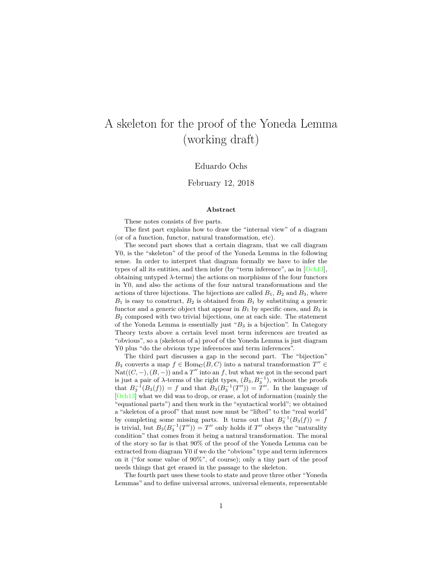# A skeleton for the proof of the Yoneda Lemma (working draft)

### Eduardo Ochs

### February 12, 2018

#### **Abstract**

These notes consists of five parts.

The first part explains how to draw the "internal view" of a diagram (or of a function, functor, natural transformation, etc).

The second part shows that a certain diagram, that we call diagram Y0, is the "skeleton" of the proof of the Yoneda Lemma in the following sense. In order to interpret that diagram formally we have to infer the types of all its entities, and then infer (by "term inference", as in [\[Och13\]](#page-25-0), obtaining untyped  $\lambda$ -terms) the actions on morphisms of the four functors in Y0, and also the actions of the four natural transformations and the actions of three bijections. The bijections are called  $B_1$ ,  $B_2$  and  $B_3$ , where  $B_1$  is easy to construct,  $B_2$  is obtained from  $B_1$  by substituing a generic functor and a generic object that appear in  $B_1$  by specific ones, and  $B_3$  is  $B<sub>2</sub>$  composed with two trivial bijections, one at each side. The statement of the Yoneda Lemma is essentially just " $B_3$  is a bijection". In Category Theory texts above a certain level most term inferences are treated as "obvious", so a (skeleton of a) proof of the Yoneda Lemma is just diagram Y0 plus "do the obvious type inferences and term inferences".

The third part discusses a gap in the second part. The "bijection" B<sub>3</sub> converts a map  $f \in \text{Hom}_{\mathbf{C}}(B, C)$  into a natural transformation  $T'' \in$  $\mathrm{Nat}((C, -), (B, -))$  and a T'' into an f, but what we got in the second part is just a pair of  $\lambda$ -terms of the right types,  $(B_3, B_3^{-1})$ , without the proofs that  $B_3^{-1}(B_3(f)) = f$  and that  $B_3(B_3^{-1}(T'')) = T''$ . In the language of [\[Och13\]](#page-25-0) what we did was to drop, or erase, a lot of information (mainly the "equational parts") and then work in the "syntactical world"; we obtained a "skeleton of a proof" that must now must be "lifted" to the "real world" by completing some missing parts. It turns out that  $B_3^{-1}(B_3(f)) = f$ is trivial, but  $B_3(B_3^{-1}(T'')) = T''$  only holds if  $T''$  obeys the "naturality condition" that comes from it being a natural transformation. The moral of the story so far is that 90% of the proof of the Yoneda Lemma can be extracted from diagram Y0 if we do the "obvious" type and term inferences on it ("for some value of 90%", of course); only a tiny part of the proof needs things that get erased in the passage to the skeleton.

The fourth part uses these tools to state and prove three other "Yoneda Lemmas" and to define universal arrows, universal elements, representable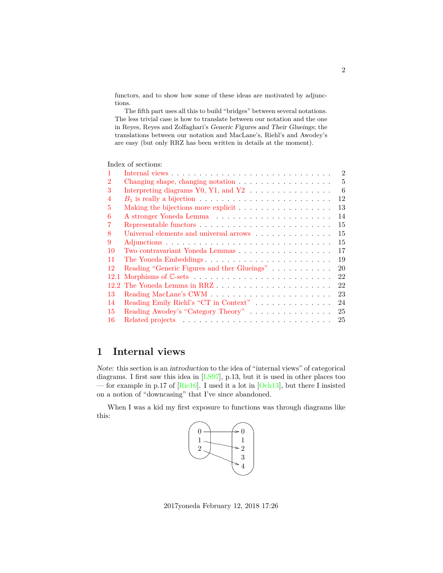functors, and to show how some of these ideas are motivated by adjunctions.

The fifth part uses all this to build "bridges" between several notations. The less trivial case is how to translate between our notation and the one in Reyes, Reyes and Zolfaghari's Generic Figures and Their Glueings; the translations between our notation and MacLane's, Riehl's and Awodey's are easy (but only RRZ has been written in details at the moment).

Index of sections:

| $\mathbf{1}$   | $\overline{2}$<br>Internal views $\ldots \ldots \ldots \ldots \ldots \ldots \ldots \ldots \ldots \ldots \ldots$ |
|----------------|-----------------------------------------------------------------------------------------------------------------|
| $\overline{2}$ | 5                                                                                                               |
| 3              | 6<br>Interpreting diagrams $Y0$ , $Y1$ , and $Y2$                                                               |
| 4              | 12                                                                                                              |
| 5              | 13                                                                                                              |
| 6              | 14                                                                                                              |
| 7              | 15                                                                                                              |
| 8              | 15<br>Universal elements and universal arrows $\ldots \ldots \ldots \ldots$                                     |
| 9              | 15                                                                                                              |
| 10             | 17<br>Two contravariant Yoneda Lemmas                                                                           |
| 11             | 19<br>The Yoneda Embeddings                                                                                     |
| 12             | 20<br>Reading "Generic Figures and ther Glueings"                                                               |
|                | 22                                                                                                              |
|                | 22                                                                                                              |
| 13             | 23                                                                                                              |
| 14             | Reading Emily Riehl's "CT in Context"<br>24                                                                     |
| 15             | Reading Awodey's "Category Theory"<br>25                                                                        |
| -16            | 25                                                                                                              |

## <span id="page-1-0"></span>**1 Internal views**

Note: this section is an introduction to the idea of "internal views" of categorical diagrams. I first saw this idea in [\[LS97\]](#page-25-1), p.13, but it is used in other places too — for example in p.17 of [\[Rie16\]](#page-25-2). I used it a lot in [\[Och13\]](#page-25-0), but there I insisted on a notion of "downcasing" that I've since abandoned.

When I was a kid my first exposure to functions was through diagrams like this:



2017yoneda February 12, 2018 17:26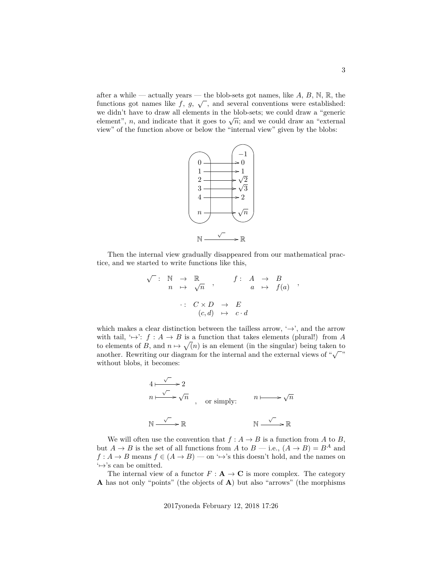after a while — actually years — the blob-sets got names, like  $A, B, N, \mathbb{R}$ , the functions got names like  $f, g, \sqrt{\ }$ , and several conventions were established: we didn't have to draw all elements in the blob-sets; we could draw a "generic we didn't have to draw an elements in the blob-sets, we could draw a generic element", n, and indicate that it goes to  $\sqrt{n}$ ; and we could draw an "external view" of the function above or below the "internal view" given by the blobs:



Then the internal view gradually disappeared from our mathematical practice, and we started to write functions like this,

$$
\begin{array}{rcl}\n\sqrt{\phantom{a}}: & \mathbb{N} & \to & \mathbb{R} \\
n & \mapsto & \sqrt{n} \\
\therefore & C \times D & \to & E \\
(c, d) & \mapsto & c \cdot d\n\end{array} ,
$$

which makes a clear distinction between the tailless arrow,  $\rightarrow$ , and the arrow with tail,  $\rightarrow$ :  $f : A \rightarrow B$  is a function that takes elements (plural!) from A to elements of B, and  $n \mapsto \sqrt{n}$  is an element (in the singular) being taken to to elements of  $B$ , and  $u \mapsto \sqrt{u}$  is an element (in the singular) being taken to<br>another. Rewriting our diagram for the internal and the external views of " $\sqrt{\ }$ " without blobs, it becomes:

$$
4 \xrightarrow{\sqrt{ }} 2
$$
  
\n
$$
n \xrightarrow{\sqrt{ }} \sqrt{n}
$$
, or simply: 
$$
n \xrightarrow{\sqrt{n}} \sqrt{n}
$$
  
\n
$$
\mathbb{N} \xrightarrow{\sqrt{ }} \mathbb{R}
$$
  
\n
$$
\mathbb{N} \xrightarrow{\sqrt{ }} \mathbb{R}
$$

We will often use the convention that  $f : A \to B$  is a function from A to B, but  $A \to B$  is the set of all functions from A to  $B$  — i.e.,  $(A \to B) = B^A$  and  $f: A \to B$  means  $f \in (A \to B)$  — on ' $\mapsto$ 's this doesn't hold, and the names on  $\leftrightarrow$ 's can be omitted.

The internal view of a functor  $F : A \to \mathbb{C}$  is more complex. The category A has not only "points" (the objects of A) but also "arrows" (the morphisms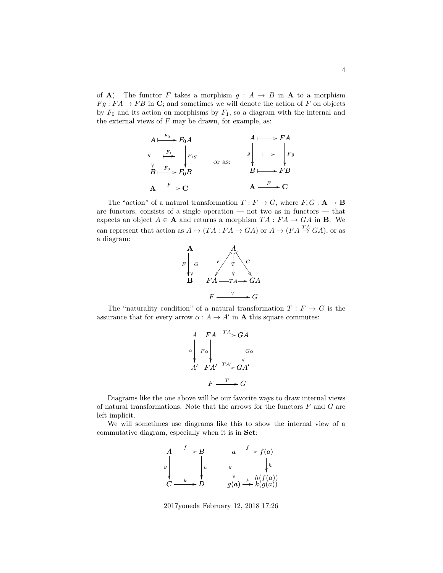of **A**). The functor F takes a morphism  $g : A \rightarrow B$  in **A** to a morphism  $Fg : FA \to FB$  in C; and sometimes we will denote the action of F on objects by  $F_0$  and its action on morphisms by  $F_1$ , so a diagram with the internal and the external views of  $F$  may be drawn, for example, as:

$$
A \xrightarrow{F_0} F_0 A
$$
\n
$$
g \xrightarrow{F_1} F_1 g
$$
\n
$$
g \xrightarrow{F_2} F_0 B
$$
\n
$$
g \xrightarrow{F} \xrightarrow{F} F_0
$$
\n
$$
g \xrightarrow{F} \xrightarrow{F} F_1
$$
\n
$$
g \xrightarrow{F} \xrightarrow{F} F_2
$$
\n
$$
g \xrightarrow{F} \xrightarrow{F} F_3
$$
\n
$$
g \xrightarrow{F} \xrightarrow{F} F_4
$$
\n
$$
g \xrightarrow{F} \xrightarrow{F} F_5
$$
\n
$$
g \xrightarrow{F} \xrightarrow{F} F_5
$$

The "action" of a natural transformation  $T : F \to G$ , where  $F, G : \mathbf{A} \to \mathbf{B}$ are functors, consists of a single operation — not two as in functors — that expects an object  $A \in \mathbf{A}$  and returns a morphism  $TA : FA \to GA$  in **B**. We can represent that action as  $A \mapsto (TA : FA \to GA)$  or  $A \mapsto (FA \stackrel{TA}{\to} GA)$ , or as a diagram:



The "naturality condition" of a natural transformation  $T : F \to G$  is the assurance that for every arrow  $\alpha : A \to A'$  in **A** this square commutes:



Diagrams like the one above will be our favorite ways to draw internal views of natural transformations. Note that the arrows for the functors  $F$  and  $G$  are left implicit.

We will sometimes use diagrams like this to show the internal view of a commutative diagram, especially when it is in Set:



2017yoneda February 12, 2018 17:26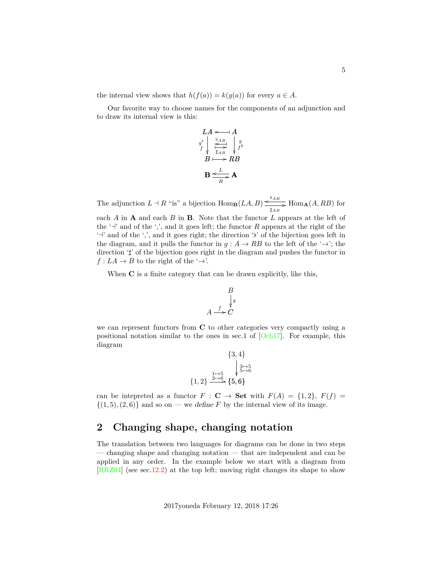the internal view shows that  $h(f(a)) = k(g(a))$  for every  $a \in A$ .

Our favorite way to choose names for the components of an adjunction and to draw its internal view is this:

$$
LA \leftarrow A
$$
\n
$$
g^{\flat} \downarrow \xrightarrow{\flat AB \atop \stackrel{\ast}{\sharp AB \atop \sharp AB}} \downarrow g
$$
\n
$$
B \longmapsto RB
$$
\n
$$
B \leftarrow L
$$
\n
$$
A
$$

The adjunction  $L \dashv R$  "is" a bijection  $\text{Hom}_{\mathbf{B}}(LA, B) \leq^{\flat_{AB}}$  $\overline{\lim_{\sharp_{AB}}}$  Hom<sub>A</sub> $(A, RB)$  for each  $A$  in  $A$  and each  $B$  in  $B$ . Note that the functor  $L$  appears at the left of the ' $\neg$ ' and of the ',', and it goes left; the functor R appears at the right of the ' $\dashv$ ' and of the ',', and it goes right; the direction 'b' of the bijection goes left in the diagram, and it pulls the functor in  $g : A \to RB$  to the left of the ' $\rightarrow$ '; the

direction  $\sharp$ ' of the bijection goes right in the diagram and pushes the functor in

When C is a finite category that can be drawn explicitly, like this,

 $f: LA \to B$  to the right of the ' $\to$ '.

$$
B \downarrow g
$$
  

$$
A \xrightarrow{f} C
$$

we can represent functors from C to other categories very compactly using a positional notation similar to the ones in sec.1 of [\[Och17\]](#page-25-3). For example, this diagram

$$
\{3,4\}
$$
\n
$$
\begin{array}{c}\n\{3,4\} \\
\downarrow \stackrel{3\mapsto 5}{\longrightarrow} \\
\{1,2\} \xrightarrow{\begin{subarray}{c} 1\mapsto 5 \\ 2\mapsto 6 \\ \longrightarrow \end{subarray}} \{5,6\}
$$

can be intepreted as a functor  $F : \mathbf{C} \to \mathbf{Set}$  with  $F(A) = \{1,2\}, F(f) =$  $\{(1,5), (2,6)\}\$ and so on — we define F by the internal view of its image.

## <span id="page-4-0"></span>**2 Changing shape, changing notation**

The translation between two languages for diagrams can be done in two steps — changing shape and changing notation — that are independent and can be applied in any order. In the example below we start with a diagram from [\[RRZ04\]](#page-25-4) (see sec[.12.2\)](#page-21-1) at the top left; moving right changes its shape to show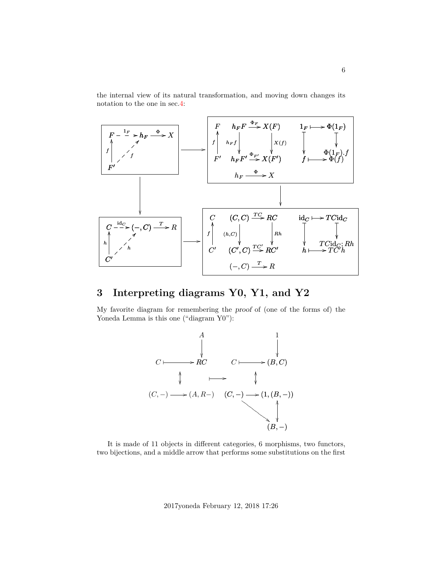the internal view of its natural transformation, and moving down changes its notation to the one in sec[.4:](#page-11-0)



## <span id="page-5-0"></span>**3 Interpreting diagrams Y0, Y1, and Y2**

My favorite diagram for remembering the proof of (one of the forms of) the Yoneda Lemma is this one ("diagram Y0"):



It is made of 11 objects in different categories, 6 morphisms, two functors, two bijections, and a middle arrow that performs some substitutions on the first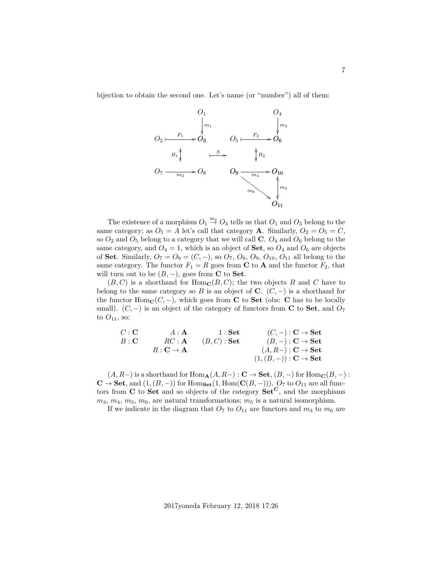bijection to obtain the second one. Let's name (or "number") all of them:



The existence of a morphism  $O_1 \stackrel{m_1}{\rightarrow} O_3$  tells us that  $O_1$  and  $O_3$  belong to the same category; as  $O_1 = A$  let's call that category **A**. Similarly,  $O_2 = O_5 = C$ , so  $O_2$  and  $O_5$  belong to a category that we will call C.  $O_4$  and  $O_6$  belong to the same category, and  $O_4 = 1$ , which is an object of **Set**, so  $O_4$  and  $O_6$  are objects of Set. Similarly,  $O_7 = O_9 = (C, -)$ , so  $O_7$ ,  $O_8$ ,  $O_9$ ,  $O_{10}$ ,  $O_{11}$  all belong to the same category. The functor  $F_1 = R$  goes from **C** to **A** and the functor  $F_2$ , that will turn out to be  $(B, -)$ , goes from **C** to **Set**.

 $(B, C)$  is a shorthand for  $\text{Hom}_{\mathbf{C}}(B, C)$ ; the two objects B and C have to belong to the same category so B is an object of C.  $(C, -)$  is a shorthand for the functor  $\text{Hom}_{\mathbf{C}}(C, -)$ , which goes from **C** to **Set** (obs: **C** has to be locally small).  $(C, -)$  is an object of the category of functors from C to Set, and  $O_7$ to  $O_{11}$ , so:

$$
\begin{array}{ccc} C : \mathbf{C} & A : \mathbf{A} & 1 : \mathbf{Set} & (C,-) : \mathbf{C} \rightarrow \mathbf{Set} \\ B : \mathbf{C} & RC : \mathbf{A} & (B,C) : \mathbf{Set} & (B,-) : \mathbf{C} \rightarrow \mathbf{Set} \\ R : \mathbf{C} \rightarrow \mathbf{A} & (A,R-) : \mathbf{C} \rightarrow \mathbf{Set} \\ & (1,(B,-)) : \mathbf{C} \rightarrow \mathbf{Set} \end{array}
$$

 $(A, R-)$  is a shorthand for Hom<sub>A</sub> $(A, R-) : \mathbf{C} \to \mathbf{Set}$ ,  $(B, -)$  for Hom<sub>C</sub> $(B, -)$ :  $\mathbf{C} \to \mathbf{Set}$ , and  $(1,(B,-))$  for  $\text{Hom}_{\mathbf{Set}}(1,\text{Hom}(\mathbf{C}(B,-)))$ .  $O_7$  to  $O_{11}$  are all functors from  $C$  to Set and so objects of the category  $Set^{C}$ , and the morphisms  $m_3, m_4, m_5, m_6$ , are natural transformations;  $m_5$  is a natural isomorphism.

If we indicate in the diagram that  $O_7$  to  $O_{11}$  are functors and  $m_3$  to  $m_6$  are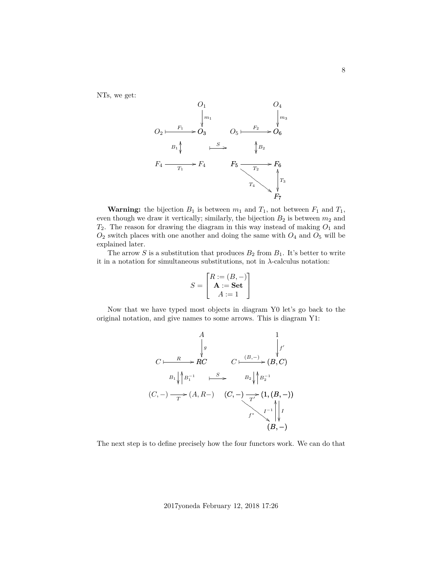NTs, we get:



**Warning:** the bijection  $B_1$  is between  $m_1$  and  $T_1$ , not between  $F_1$  and  $T_1$ , even though we draw it vertically; similarly, the bijection  $B_2$  is between  $m_2$  and  $T_2$ . The reason for drawing the diagram in this way instead of making  $O_1$  and  $O_2$  switch places with one another and doing the same with  $O_4$  and  $O_5$  will be explained later.

The arrow S is a substitution that produces  $B_2$  from  $B_1$ . It's better to write it in a notation for simultaneous substitutions, not in  $\lambda$ -calculus notation:

$$
S = \begin{bmatrix} R := (B, -) \\ \mathbf{A} := \mathbf{Set} \\ A := 1 \end{bmatrix}
$$

Now that we have typed most objects in diagram Y0 let's go back to the original notation, and give names to some arrows. This is diagram Y1:

$$
C \longmapsto R
$$
\n
$$
C \longmapsto R
$$
\n
$$
B_1 \downarrow B_1^{-1} \downarrow \cdots
$$
\n
$$
B_2 \downarrow B_2^{-1}
$$
\n
$$
(C, -) \longrightarrow (A, R-) \quad (C, -) \longrightarrow (1, (B, -))
$$
\n
$$
f^* \downarrow \qquad J^{-1} \downarrow J
$$
\n
$$
(B, -)
$$

The next step is to define precisely how the four functors work. We can do that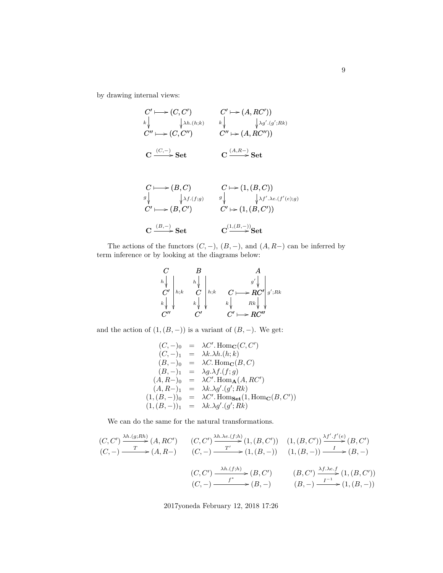by drawing internal views:

$$
C' \longmapsto (C, C') \qquad C' \longmapsto (A, RC'))
$$
  
\n
$$
k \downarrow \qquad \qquad k \downarrow \qquad \qquad k \downarrow \qquad \qquad k \downarrow \qquad \qquad k' \downarrow \qquad \qquad k' \downarrow \qquad \qquad k' \downarrow \qquad \qquad k' \downarrow \qquad \qquad k' \downarrow \qquad \qquad k' \downarrow \qquad \qquad k' \downarrow \qquad \qquad k' \downarrow \qquad \qquad k' \downarrow \qquad \qquad k' \downarrow \qquad \qquad k' \downarrow \qquad \qquad k' \downarrow \qquad k' \downarrow \qquad k' \downarrow \qquad k' \downarrow \qquad k' \downarrow \qquad k' \downarrow \qquad k' \downarrow \qquad k' \downarrow \qquad k' \downarrow \qquad k' \downarrow \qquad k' \downarrow \qquad k' \downarrow \qquad k' \downarrow \qquad k' \downarrow \qquad k' \downarrow \qquad k' \downarrow \qquad k' \downarrow \qquad k' \downarrow \qquad k' \downarrow \qquad k' \downarrow \qquad k' \downarrow \qquad k' \downarrow \qquad k' \downarrow \qquad k' \downarrow \qquad k' \downarrow \qquad k' \downarrow \qquad k' \downarrow \qquad k' \downarrow \qquad k' \downarrow \qquad k' \downarrow \qquad k' \downarrow \qquad k' \downarrow \qquad k' \downarrow \qquad k' \downarrow \qquad k' \downarrow \qquad k' \downarrow \qquad k' \downarrow \qquad k' \downarrow \qquad k' \downarrow \qquad k' \downarrow \qquad k' \downarrow \qquad k' \downarrow \qquad k' \downarrow \qquad k' \downarrow \qquad k' \downarrow \qquad k' \downarrow \qquad k' \downarrow \qquad k' \downarrow \qquad k' \downarrow \qquad k' \downarrow \qquad k' \downarrow \qquad k' \downarrow \qquad k' \downarrow \qquad k' \downarrow \qquad k' \downarrow \qquad k' \downarrow \qquad k' \downarrow \qquad k' \downarrow \qquad k' \downarrow \qquad k' \downarrow \qquad k' \downarrow \qquad k' \downarrow \qquad k' \downarrow \qquad k' \downarrow \qquad k' \downarrow \qquad k' \downarrow \qquad k' \downarrow \qquad k' \downarrow \qquad k' \downarrow \qquad k' \downarrow \qquad k
$$

$$
\mathbf{C} \xrightarrow{(B,-)} \mathbf{Set} \qquad \qquad \mathbf{C}^{(1,(B,-))}_{\qquad \ \ \, \rightarrow} \mathbf{Set}
$$

The actions of the functors  $(C, -)$ ,  $(B, -)$ , and  $(A, R-)$  can be inferred by term inference or by looking at the diagrams below:

$$
\begin{array}{c|c|c}\nC & B & A \\
\hline\nk \downarrow & & k \downarrow & \\
C' & \uparrow & & C \\
k \downarrow & & & k \downarrow & \\
C'' & & C' & & C' \rightarrow R C'' \\
C'' & & & C' & & C'' \rightarrow R C''\n\end{array}
$$

and the action of  $(1,(B,-))$  is a variant of  $(B,-)$ . We get:

$$
(C, -)_{0} = \lambda C'. \operatorname{Hom}_{\mathbf{C}}(C, C')
$$
  
\n
$$
(C, -)_{1} = \lambda k.\lambda h.(h; k)
$$
  
\n
$$
(B, -)_{0} = \lambda C. \operatorname{Hom}_{\mathbf{C}}(B, C)
$$
  
\n
$$
(B, -)_{1} = \lambda g.\lambda f.(f; g)
$$
  
\n
$$
(A, R-)_{0} = \lambda C'. \operatorname{Hom}_{\mathbf{A}}(A, RC')
$$
  
\n
$$
(A, R-)_{1} = \lambda k.\lambda g'.(g'; Rk)
$$
  
\n
$$
(1, (B, -))_{0} = \lambda C'. \operatorname{Hom}_{\mathbf{Set}}(1, \operatorname{Hom}_{\mathbf{C}}(B, C'))
$$
  
\n
$$
(1, (B, -))_{1} = \lambda k.\lambda g'.(g'; Rk)
$$

We can do the same for the natural transformations.

$$
(C, C') \xrightarrow{\lambda h.(g;Rh)} (A, RC') \qquad (C, C') \xrightarrow{\lambda h.\lambda e.(f;h)} (1, (B, C')) \qquad (1, (B, C')) \xrightarrow{\lambda f'.f'(e)} (B, C')
$$
  

$$
(C, -) \xrightarrow{T} (A, R-) \qquad (C, -) \xrightarrow{T'} \qquad (1, (B, -)) \qquad (1, (B, -)) \xrightarrow{I} (B, -)
$$
  

$$
(C, C') \xrightarrow{ \lambda h.(f;h)} (B, C') \qquad (B, C') \xrightarrow{ \lambda f. \lambda e.f} (1, (B, C'))
$$
  

$$
(C, -) \xrightarrow{f^*} (B, -) \qquad (B, -) \xrightarrow{I^{-1}} (1, (B, -))
$$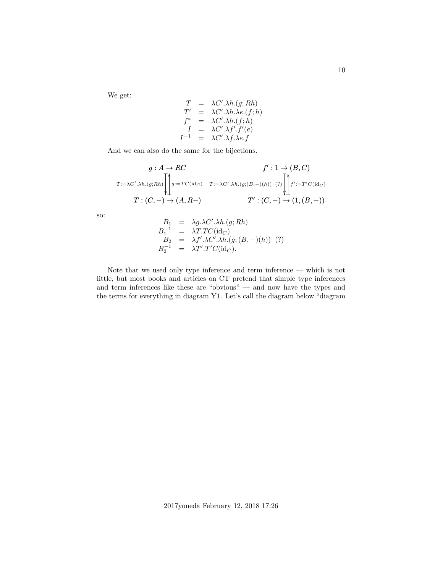We get:

$$
T = \lambda C'.\lambda h.(g; Rh)
$$
  
\n
$$
T' = \lambda C'.\lambda h.\lambda e.(f; h)
$$
  
\n
$$
f^* = \lambda C'.\lambda h.(f; h)
$$
  
\n
$$
I = \lambda C'.\lambda f'.f'(e)
$$
  
\n
$$
I^{-1} = \lambda C'.\lambda f.\lambda e.f
$$

And we can also do the same for the bijections.

$$
g: A \to RC
$$
  

$$
T:=\lambda C'.\lambda h.(g;Rh)
$$

$$
\left\| \int_{\pm}^{A} g:=TC(\mathrm{id}_C) \quad T:=\lambda C'.\lambda h.(g;(B,-)(h)) \quad (?) \right\|_{\pm}^{A} f':=T'C(\mathrm{id}_C)
$$

$$
T:(C,-) \to (A,R-) \qquad T':(C,-) \to (1,(B,-))
$$

so:

$$
B_1 = \lambda g.\lambda C'.\lambda h.(g; Rh)
$$
  
\n
$$
B_1^{-1} = \lambda T.TC(\mathrm{id}_C)
$$
  
\n
$$
B_2 = \lambda f'.\lambda C'.\lambda h.(g;(B,-)(h)) (?)
$$
  
\n
$$
B_2^{-1} = \lambda T'.T'C(\mathrm{id}_C).
$$

Note that we used only type inference and term inference — which is not little, but most books and articles on CT pretend that simple type inferences and term inferences like these are "obvious" — and now have the types and the terms for everything in diagram Y1. Let's call the diagram below "diagram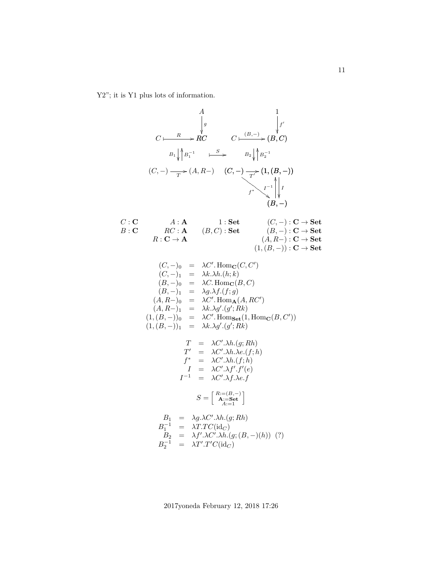Y2"; it is Y1 plus lots of information.

$$
C \longmapsto R \downarrow C \qquad \qquad \downarrow \qquad \qquad \downarrow \qquad \qquad \downarrow \qquad \qquad \downarrow \qquad \qquad \downarrow \qquad \qquad \downarrow \qquad \qquad \downarrow \qquad \qquad \downarrow \qquad \qquad \downarrow \qquad \qquad \downarrow \qquad \qquad \downarrow \qquad \qquad \downarrow \qquad \qquad \downarrow \qquad \qquad \downarrow \qquad \qquad \downarrow \qquad \qquad \downarrow \qquad \qquad \downarrow \qquad \qquad \downarrow \qquad \qquad \downarrow \qquad \qquad \downarrow \qquad \qquad \downarrow \qquad \qquad \downarrow \qquad \qquad \downarrow \qquad \qquad \downarrow \qquad \qquad \downarrow \qquad \qquad \downarrow \qquad \qquad \downarrow \qquad \qquad \downarrow \qquad \qquad \downarrow \qquad \qquad \downarrow \qquad \qquad \downarrow \qquad \qquad \downarrow \qquad \qquad \downarrow \qquad \qquad \downarrow \qquad \qquad \downarrow \qquad \qquad \downarrow \qquad \qquad \downarrow \qquad \qquad \downarrow \qquad \qquad \downarrow \qquad \qquad \downarrow \qquad \qquad \downarrow \qquad \qquad \downarrow \qquad \qquad \downarrow \qquad \qquad \downarrow \qquad \qquad \downarrow \qquad \qquad \downarrow \qquad \qquad \downarrow \qquad \qquad \downarrow \qquad \qquad \downarrow \qquad \qquad \downarrow \qquad \qquad \downarrow \qquad \qquad \downarrow \qquad \qquad \downarrow \qquad \qquad \downarrow \qquad \qquad \downarrow \qquad \qquad \downarrow \qquad \qquad \downarrow \qquad \qquad \downarrow \qquad \qquad \downarrow \qquad \qquad \downarrow \qquad \qquad \downarrow \qquad \qquad \downarrow \qquad \qquad \downarrow \qquad \qquad \downarrow \qquad \qquad \downarrow \qquad \qquad \downarrow \qquad \qquad \downarrow \qquad \qquad \downarrow \qquad \qquad \downarrow \qquad \qquad \downarrow \qquad \qquad \downarrow \qquad \qquad \downarrow \qquad \qquad \downarrow \qquad \qquad \downarrow \qquad \qquad \downarrow \qquad \qquad \downarrow \qquad \qquad \downarrow \qquad \qquad \downarrow \qquad \qquad \downarrow \qquad \qquad \downarrow \qquad \qquad \downarrow \qquad \qquad \downarrow \qquad \qquad \downarrow \q
$$

2017yoneda February 12, 2018 17:26

 $B_2^{-1}$  =  $\lambda T'.T'C(\mathrm{id}_C)$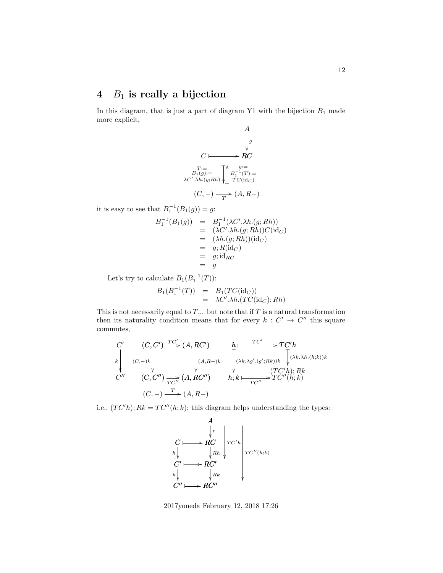## <span id="page-11-0"></span>**4** B<sup>1</sup> **is really a bijection**

In this diagram, that is just a part of diagram Y1 with the bijection  $B_1$  made more explicit,

A  
\n
$$
\downarrow g
$$
\nC  
\n
$$
\uparrow g
$$
\nBC  
\n
$$
T := \text{BC}
$$
\n
$$
B_1(g) := \text{AC}
$$
\n
$$
\downarrow g^{-1}(T) := \text{AC}
$$
\n
$$
\downarrow g^{-1}(T) := \text{C}(\text{id}_C)
$$
\n
$$
(C, -) \longrightarrow (A, R-)
$$

it is easy to see that  $B_1^{-1}(B_1(g)) = g$ :

$$
B_1^{-1}(B_1(g)) = B_1^{-1}(\lambda C'.\lambda h.(g; Rh))
$$
  
=  $(\lambda C'.\lambda h.(g; Rh))C(\mathrm{id}_C)$   
=  $(\lambda h.(g; Rh))(\mathrm{id}_C)$   
=  $g; R(\mathrm{id}_C)$   
=  $g; \mathrm{id}_{RC}$   
=  $g$ 

Let's try to calculate  $B_1(B_1^{-1}(T))$ :

$$
B_1(B_1^{-1}(T)) = B_1(TC(\mathrm{id}_C))
$$
  
=  $\lambda C' \cdot \lambda h \cdot (TC(\mathrm{id}_C); Rh)$ 

This is not necessarily equal to  $T$ ... but note that if  $T$  is a natural transformation then its naturality condition means that for every  $k: C' \to C''$  this square commutes,

$$
C' \quad (C, C') \xrightarrow{TC'} (A, RC') \quad h \longmapsto TC'h
$$
  
\n
$$
\downarrow \qquad \qquad \downarrow \qquad \qquad \downarrow \qquad \qquad \downarrow \qquad \qquad \downarrow \qquad \qquad \downarrow \qquad \downarrow \qquad \downarrow \qquad \downarrow \qquad \downarrow \qquad \downarrow \qquad \downarrow \qquad \downarrow \qquad \downarrow \qquad \downarrow \qquad \downarrow \qquad \downarrow \qquad \downarrow \qquad \downarrow \qquad \downarrow \qquad \downarrow \qquad \downarrow \qquad \downarrow \qquad \downarrow \qquad \downarrow \qquad \downarrow \qquad \downarrow \qquad \downarrow \qquad \downarrow \qquad \downarrow \qquad \downarrow \qquad \downarrow \qquad \downarrow \qquad \downarrow \qquad \downarrow \qquad \downarrow \qquad \downarrow \qquad \downarrow \qquad \downarrow \qquad \downarrow \qquad \downarrow \qquad \downarrow \qquad \downarrow \qquad \downarrow \qquad \downarrow \qquad \downarrow \qquad \downarrow \qquad \downarrow \qquad \downarrow \qquad \downarrow \qquad \downarrow \qquad \downarrow \qquad \downarrow \qquad \downarrow \qquad \downarrow \qquad \downarrow \qquad \downarrow \qquad \downarrow \qquad \downarrow \qquad \downarrow \qquad \downarrow \qquad \downarrow \qquad \downarrow \qquad \downarrow \qquad \downarrow \qquad \downarrow \qquad \downarrow \qquad \downarrow \qquad \downarrow \qquad \downarrow \qquad \downarrow \qquad \downarrow \qquad \downarrow \qquad \downarrow \qquad \downarrow \qquad \downarrow \qquad \downarrow \qquad \downarrow \qquad \downarrow \qquad \downarrow \qquad \downarrow \qquad \downarrow \qquad \downarrow \qquad \downarrow \qquad \downarrow \qquad \downarrow \qquad \downarrow \qquad \downarrow \qquad \downarrow \qquad \downarrow \qquad \downarrow \qquad \downarrow \qquad \downarrow \qquad \downarrow \qquad \downarrow \qquad \downarrow \qquad \downarrow \qquad \downarrow \qquad \downarrow \qquad \downarrow \qquad \downarrow \qquad \downarrow \qquad \downarrow \qquad \downarrow \qquad \downarrow \qquad \downarrow \qquad \downarrow \qquad \downarrow \qquad \downarrow \qquad \downarrow \qquad \downarrow \qquad \downarrow \qquad \downarrow \qquad \downarrow \qquad \downarrow \qquad \downarrow \qquad \downarrow \qquad \down
$$

i.e.,  $(T C'h); Rk = T C''(h; k);$  this diagram helps understanding the types:



2017yoneda February 12, 2018 17:26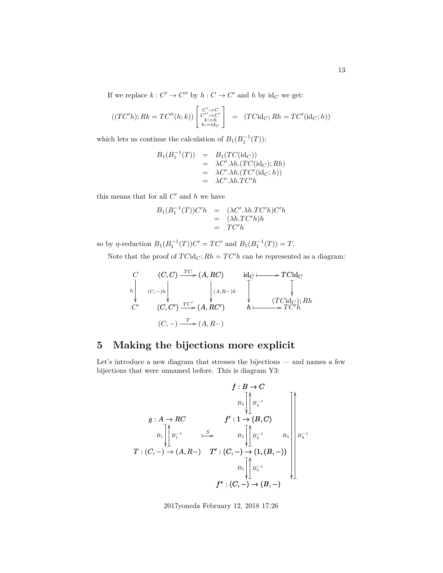If we replace  $k: C' \to C''$  by  $h: C \to C'$  and h by  $\mathrm{id}_C$  we get:

$$
((TC'h); Rk = TC''(h; k)) \begin{bmatrix} C' := C \\ C'' := C' \\ k := h \\ h := id_C \end{bmatrix} = (TCid_C; Rh = TC'(\mathrm{id}_C; h))
$$

which lets us continue the calculation of  $B_1(B_1^{-1}(T))$ :

$$
B_1(B_1^{-1}(T)) = B_1(TC(\mathrm{id}_C))
$$
  
=  $\lambda C' \cdot \lambda h \cdot (TC(\mathrm{id}_C); Rh)$   
=  $\lambda C' \cdot \lambda h \cdot (TC'(\mathrm{id}_C; h))$   
=  $\lambda C' \cdot \lambda h \cdot TC'h$ 

this means that for all  $C'$  and  $h$  we have

$$
B_1(B_1^{-1}(T))C'h = (\lambda C'.\lambda h.TC'h)C'h
$$
  
= (\lambda h.TC'h)h  
= TC'h

so by  $\eta$ -reduction  $B_1(B_1^{-1}(T))C' = TC'$  and  $B_1(B_1^{-1}(T)) = T$ .

Note that the proof of  $TCid_C$ ;  $Rh = TC'h$  can be represented as a diagram:

$$
\begin{array}{ccc}\nC & (C, C) \xrightarrow{TC} (A, RC) & \operatorname{id}_C \longmapsto TC \operatorname{id}_C \\
\downarrow & & \downarrow & & \downarrow \\
C' & (C, C') \xrightarrow{TC'} (A, RC') & & \downarrow & (TC \operatorname{id}_C); Rh \\
(C, -) \xrightarrow{T} (A, RC') & & h \longmapsto TC'h\n\end{array}
$$

## <span id="page-12-0"></span>**5 Making the bijections more explicit**

Let's introduce a new diagram that stresses the bijections — and names a few bijections that were unnamed before. This is diagram Y3:

$$
f:B\to C
$$
\n
$$
g:A\to RC
$$
\n
$$
B_1\bigg\downarrow B_4^{-1}
$$
\n
$$
B_1\bigg\downarrow B_1^{-1}
$$
\n
$$
T:(C,-)\to(A,R-) \quad T':(C,-)\to(1,(B,-))
$$
\n
$$
B_5\bigg\downarrow B_5^{-1}
$$
\n
$$
f^*: (C,-)\to (B,-)
$$
\n
$$
B_6\bigg\downarrow B_5^{-1}
$$
\n
$$
f^*: (C,-)\to (B,-)
$$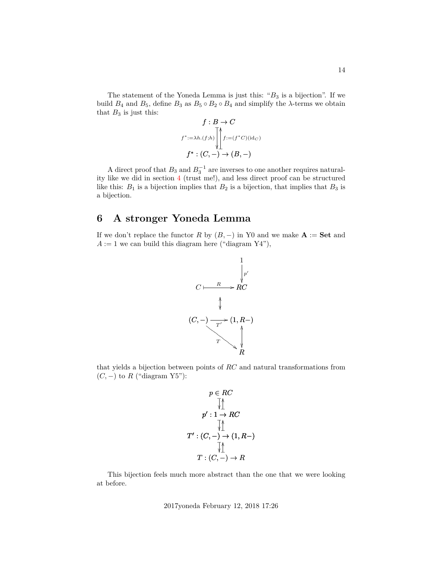The statement of the Yoneda Lemma is just this: " $B_3$  is a bijection". If we build  $B_4$  and  $B_5$ , define  $B_3$  as  $B_5 \circ B_2 \circ B_4$  and simplify the  $\lambda$ -terms we obtain that  $B_3$  is just this:

$$
f : B \to C
$$
  

$$
f^* := \lambda h.(f; h) \left[ \int_{1}^{h} f := (f^*C)(id_C) \right]
$$
  

$$
f^* : (C, -) \to (B, -)
$$

A direct proof that  $B_3$  and  $B_3^{-1}$  are inverses to one another requires naturality like we did in section [4](#page-11-0) (trust me!), and less direct proof can be structured like this:  $B_1$  is a bijection implies that  $B_2$  is a bijection, that implies that  $B_3$  is a bijection.

## <span id="page-13-0"></span>**6 A stronger Yoneda Lemma**

If we don't replace the functor R by  $(B, -)$  in Y0 and we make  $A := Set$  and  $A := 1$  we can build this diagram here ("diagram Y4"),



that yields a bijection between points of RC and natural transformations from  $(C, -)$  to R ("diagram Y5"):

p ∈ RC p 0 : 1 → RC ❴ OO ❴ T 0 : (C, −) → (1, R−) ❴ OO ❴ T : (C, −) → R ❴ OO ❴

This bijection feels much more abstract than the one that we were looking at before.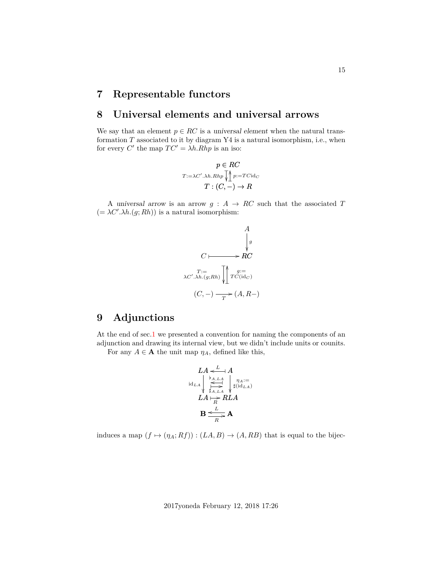## <span id="page-14-0"></span>**7 Representable functors**

### <span id="page-14-1"></span>**8 Universal elements and universal arrows**

We say that an element  $p \in RC$  is a universal element when the natural transformation  $T$  associated to it by diagram Y4 is a natural isomorphism, i.e., when for every C' the map  $TC' = \lambda h.Rhp$  is an iso:

$$
p \in RC
$$

$$
T:=\lambda C'.\lambda h.Rhp \setminus \bigwedge^{\Lambda} p:=TC\mathrm{id}_C
$$

$$
T:(C,-)\to R
$$

A universal arrow is an arrow  $g : A \to RC$  such that the associated T  $(=\lambda C'.\lambda h.(g; Rh))$  is a natural isomorphism:



## <span id="page-14-2"></span>**9 Adjunctions**

At the end of sec[.1](#page-1-0) we presented a convention for naming the components of an adjunction and drawing its internal view, but we didn't include units or counits.

For any  $A \in \mathbf{A}$  the unit map  $\eta_A$ , defined like this,

LA A o L ✤ LA RLA ✤ R / LA LA idLA ηA:= ](idLA) o [A,LA ✤ ✤ ]A,LA B A o L R /

induces a map  $(f \mapsto (\eta_A; Rf)) : (LA, B) \rightarrow (A, RB)$  that is equal to the bijec-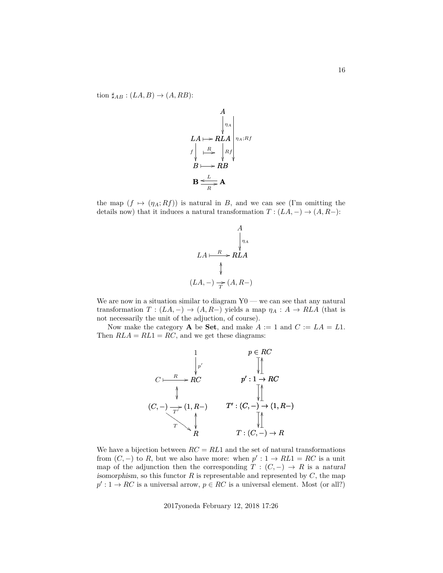tion  $\sharp_{AB}$  :  $(LA, B) \rightarrow (A, RB)$ :

$$
A
$$
\n
$$
LA \mapsto RLA
$$
\n
$$
f \downarrow R
$$
\n
$$
B \mapsto RB
$$
\n
$$
B \xrightarrow{L} A
$$
\n
$$
B \xrightarrow{L} AB
$$

the map  $(f \mapsto (\eta_A; Rf))$  is natural in B, and we can see (I'm omitting the details now) that it induces a natural transformation  $T : (LA, -) \rightarrow (A, R-)$ :



We are now in a situation similar to diagram  $Y0$  — we can see that any natural transformation  $T : (LA, -) \rightarrow (A, R-)$  yields a map  $\eta_A : A \rightarrow RLA$  (that is not necessarily the unit of the adjuction, of course).

Now make the category **A** be **Set**, and make  $A := 1$  and  $C := LA = L1$ . Then  $RLA = RL1 = RC$ , and we get these diagrams:



We have a bijection between  $RC = RL1$  and the set of natural transformations from  $(C, -)$  to R, but we also have more: when  $p' : 1 \rightarrow RL1 = RC$  is a unit map of the adjunction then the corresponding  $T : (C, -) \rightarrow R$  is a natural isomorphism, so this functor R is representable and represented by  $C$ , the map  $p': 1 \to RC$  is a universal arrow,  $p \in RC$  is a universal element. Most (or all?)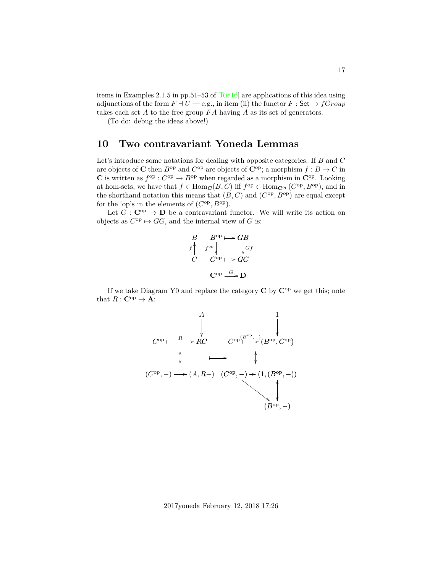items in Examples 2.1.5 in pp.51–53 of [\[Rie16\]](#page-25-2) are applications of this idea using adjunctions of the form  $F \dashv U$  — e.g., in item (ii) the functor  $F :$  Set  $\rightarrow fGroup$ takes each set A to the free group  $FA$  having A as its set of generators.

(To do: debug the ideas above!)

### <span id="page-16-0"></span>**10 Two contravariant Yoneda Lemmas**

Let's introduce some notations for dealing with opposite categories. If B and C are objects of **C** then  $B^{\text{op}}$  and  $C^{\text{op}}$  are objects of  $\mathbb{C}^{\text{op}}$ ; a morphism  $f : B \to C$  in **C** is written as  $f^{\rm op}: C^{\rm op} \to B^{\rm op}$  when regarded as a morphism in  $\mathbb{C}^{\rm op}$ . Looking at hom-sets, we have that  $f \in \text{Hom}_{\mathbf{C}}(B, C)$  iff  $f^{\text{op}} \in \text{Hom}_{\mathbf{C}^{\text{op}}}(C^{\text{op}}, B^{\text{op}})$ , and in the shorthand notation this means that  $(B, C)$  and  $(C^{op}, B^{op})$  are equal except for the 'op's in the elements of  $(C^{op}, B^{op})$ .

Let  $G : \mathbf{C}^{op} \to \mathbf{D}$  be a contravariant functor. We will write its action on objects as  $C^{op} \mapsto GG$ , and the internal view of G is:

$$
\begin{array}{ccc}\nB & B^{\text{op}} \longmapsto GB \\
f^{\wedge} & f^{\text{op}} \downarrow & \downarrow Gf \\
C & C^{\text{op}} \longmapsto GC \\
C^{\text{op}} & \xrightarrow{G} D\n\end{array}
$$

If we take Diagram Y0 and replace the category  $C$  by  $C^{op}$  we get this; note that  $R: \mathbf{C}^{\mathrm{op}} \to \mathbf{A}$ :

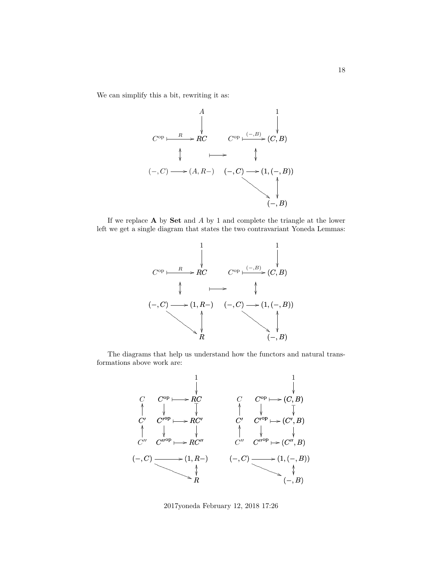We can simplify this a bit, rewriting it as:



If we replace  $A$  by  $Set$  and  $A$  by 1 and complete the triangle at the lower left we get a single diagram that states the two contravariant Yoneda Lemmas:



The diagrams that help us understand how the functors and natural transformations above work are:

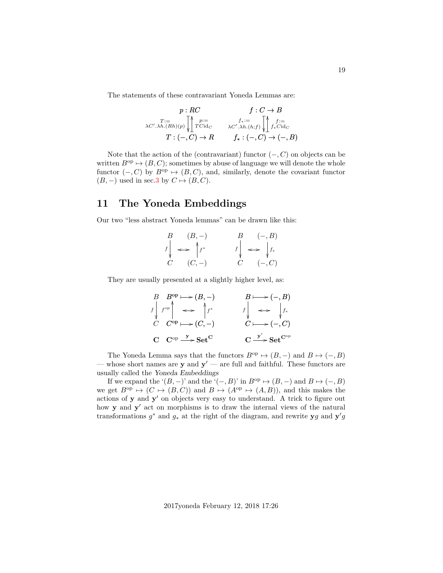The statements of these contravariant Yoneda Lemmas are:

$$
p: RC \qquad f: C \to B
$$
  
\n
$$
\chi_{C'.\lambda h. (Rh)(p)} \sqrt{\bigg| \bigg|_{T \text{Cid}_C}^{p:=} \qquad \chi_{C'.\lambda h. (h; f)} \sqrt{\bigg|_{f_* \text{Cid}_C}^{f:=}} \qquad \chi_{C'.\lambda h. (h; f)} \sqrt{\bigg|_{f_* \text{Cid}_C}^{f:=}} \sqrt{\bigg|_{f_* \text{Cid}_C}^{f:=}}
$$
  
\n
$$
T: (-, C) \to R \qquad f_*: (-, C) \to (-, B)
$$

Note that the action of the (contravariant) functor  $(-, C)$  on objects can be written  $B^{\rm op} \mapsto (B, C)$ ; sometimes by abuse of language we will denote the whole functor  $(-, C)$  by  $B^{\rm op} \mapsto (B, C)$ , and, similarly, denote the covariant functor  $(B, -)$  used in sec[.3](#page-5-0) by  $C \mapsto (B, C)$ .

### <span id="page-18-0"></span>**11 The Yoneda Embeddings**

Our two "less abstract Yoneda lemmas" can be drawn like this:

| $B \qquad (B,-)$                | $B \qquad (-, B)$                 |
|---------------------------------|-----------------------------------|
| $f\downarrow \iff \uparrow f^*$ | $f\downarrow \iff \downarrow f_*$ |
|                                 |                                   |
| $C$ $(C,-)$                     | $C \quad (-, C)$                  |

They are usually presented at a slightly higher level, as:

$$
\begin{array}{ccc}\nB & B^{\mathrm{op}} \longmapsto (B, -) & B \longmapsto (-, B) \\
\downarrow f^{\mathrm{op}} & \longleftrightarrow f^* & f \downarrow \longleftrightarrow f_* \\
C & C^{\mathrm{op}} \longmapsto (C, -) & C \longmapsto (-, C) \\
\mathbf{C} & \mathbf{C}^{\mathrm{op}} \xrightarrow{\mathbf{y}} \mathbf{Set}^{\mathbf{C}} & \mathbf{C} \xrightarrow{\mathbf{y}'} \mathbf{Set}^{\mathbf{C}^{\mathrm{op}}} \n\end{array}
$$

The Yoneda Lemma says that the functors  $B^{\text{op}} \to (B, -)$  and  $B \mapsto (-, B)$ — whose short names are **y** and  $y'$  — are full and faithful. These functors are usually called the Yoneda Embeddings

If we expand the ' $(B, -)$ ' and the ' $(-, B)$ ' in  $B^{\text{op}} \mapsto (B, -)$  and  $B \mapsto (-, B)$ we get  $B^{\rm op} \mapsto (C \mapsto (B, C))$  and  $B \mapsto (A^{\rm op} \mapsto (A, B))$ , and this makes the actions of y and y' on objects very easy to understand. A trick to figure out how  $y$  and  $y'$  act on morphisms is to draw the internal views of the natural transformations  $g^*$  and  $g_*$  at the right of the diagram, and rewrite  $\mathbf{y}g$  and  $\mathbf{y}'g$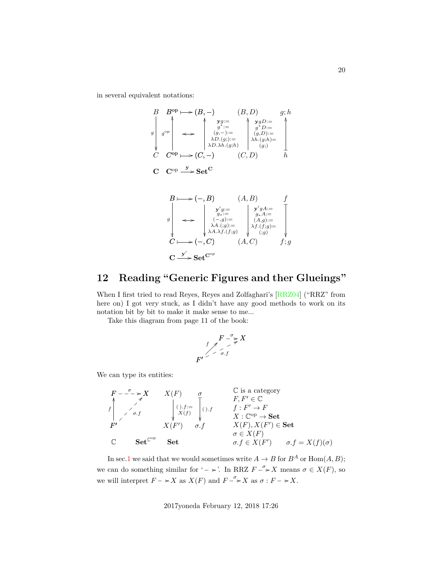in several equivalent notations:

$$
B \xrightarrow{\text{Bop}} (\mathbf{B}, -) \xrightarrow{\text{Cop}} (\mathbf{B}, D) \qquad g; h
$$
\n
$$
g \xrightarrow{\text{Cop}} \xrightarrow{\text{Cop}} \xrightarrow{\text{Cop}} \xrightarrow{\text{Cop}} \xrightarrow{\text{Cop}} \xrightarrow{\text{Cop}} \xrightarrow{\text{Cop}} \xrightarrow{\text{Cop}} \xrightarrow{\text{Cop}} \xrightarrow{\text{Cop}} \xrightarrow{\text{Cop}} (\mathbf{C}, -) \xrightarrow{\text{Cop}} (\mathbf{C}, \mathbf{D}) \qquad h
$$
\n
$$
C \xrightarrow{\text{Cop}} \xrightarrow{\text{Cop}} \xrightarrow{\text{Set}} \text{Set}^{\text{C}}
$$
\n
$$
B \longmapsto (-, B) \qquad (A, B) \qquad f
$$
\n
$$
g \xrightarrow{\text{Cop}} \xrightarrow{\text{Cop}} \xrightarrow{\text{Cop}} \xrightarrow{\text{Cop}} \xrightarrow{\text{Cop}} \xrightarrow{\text{Cop}} \xrightarrow{\text{Cop}} \xrightarrow{\text{Cop}} \xrightarrow{\text{Cop}} \xrightarrow{\text{Cop}} \xrightarrow{\text{Cop}} \xrightarrow{\text{Cop}} \xrightarrow{\text{Cop}} \xrightarrow{\text{Cop}} \xrightarrow{\text{Cop}} \xrightarrow{\text{Cop}} \xrightarrow{\text{Cop}} \xrightarrow{\text{Cop}} \xrightarrow{\text{Cop}} \xrightarrow{\text{Cop}} \xrightarrow{\text{Cop}} \xrightarrow{\text{Cop}} \xrightarrow{\text{Cop}} (\mathbf{C}, \mathbf{C}) \qquad f; g
$$

<span id="page-19-0"></span>**12 Reading "Generic Figures and ther Glueings"**

When I first tried to read Reyes, Reyes and Zolfaghari's [\[RRZ04\]](#page-25-4) ("RRZ" from here on) I got very stuck, as I didn't have any good methods to work on its notation bit by bit to make it make sense to me...

Take this diagram from page 11 of the book:

 $\mathrm{C} \stackrel{\mathrm{y}^{\prime}}{\longrightarrow} \mathrm{Set}^{\mathrm{C}^{\mathrm{op}}}$ 

$$
F \xrightarrow{f} X
$$
\n
$$
F' \xrightarrow{f} G
$$
\n
$$
F' \xrightarrow{f} G
$$

We can type its entities:

$$
F - \frac{\sigma}{\sigma} \Rightarrow X \qquad X(F) \qquad \sigma \qquad \text{C is a category}
$$
\n
$$
f \qquad \text{C is a category}
$$
\n
$$
F, F' \in \mathbb{C}
$$
\n
$$
F, F' \in \mathbb{C}
$$
\n
$$
f, F' \in \mathbb{C}
$$
\n
$$
f, F' \in \mathbb{C}
$$
\n
$$
f, F' \in \mathbb{C}
$$
\n
$$
f, F' \in \mathbb{C}
$$
\n
$$
f, F' \in \mathbb{C}
$$
\n
$$
f, F' \in \mathbb{C}
$$
\n
$$
f, F' \in \mathbb{C}
$$
\n
$$
f, F' \in \mathbb{C}
$$
\n
$$
f, F' \in \mathbb{C}
$$
\n
$$
f, F' \in \mathbb{C}
$$
\n
$$
f, F' \in \mathbb{C}
$$
\n
$$
f, F' \in \mathbb{C}
$$
\n
$$
f, F' \in \mathbb{C}
$$
\n
$$
f, F' \in \mathbb{C}
$$
\n
$$
f, F' \in \mathbb{C}
$$
\n
$$
f, F' \in \mathbb{C}
$$
\n
$$
f, F' \in \mathbb{C}
$$
\n
$$
f, F' \in \mathbb{C}
$$
\n
$$
f, F' \in \mathbb{C}
$$
\n
$$
f, F' \in \mathbb{C}
$$
\n
$$
f, F' \in \mathbb{C}
$$
\n
$$
f, F' \in \mathbb{C}
$$
\n
$$
f, F' \in \mathbb{C}
$$
\n
$$
f, F' \in \mathbb{C}
$$
\n
$$
f, F' \in \mathbb{C}
$$
\n
$$
f, F' \in \mathbb{C}
$$
\n
$$
f, F' \in \mathbb{C}
$$
\n
$$
f, F' \in \mathbb{C}
$$
\n
$$
f, F' \in \mathbb{C}
$$

In sec[.1](#page-1-0) we said that we would sometimes write  $A \to B$  for  $B^A$  or  $\text{Hom}(A, B)$ ; we can do something similar for '  $\rightarrow$  '. In RRZ  $F \stackrel{\sigma}{\rightarrow} X$  means  $\sigma \in X(F)$ , so we will interpret  $F \to X$  as  $X(F)$  and  $F \xrightarrow{\sigma} X$  as  $\sigma : F \to X$ .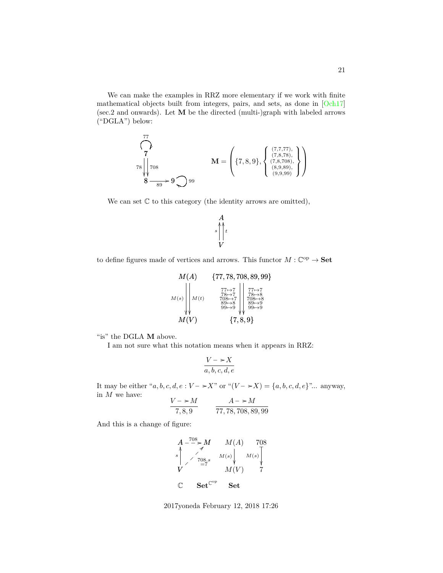We can make the examples in RRZ more elementary if we work with finite mathematical objects built from integers, pairs, and sets, as done in [\[Och17\]](#page-25-3) (sec.2 and onwards). Let M be the directed (multi-)graph with labeled arrows ("DGLA") below:

$$
\begin{pmatrix} 77 \\ 7 \\ 78 \\ 8 \\ 8 \\ 8 \end{pmatrix} \text{.} \quad \mathbf{M} = \left( \{7, 8, 9\}, \left\{ \begin{array}{l} (7,7,77), \\ (7,8,78), \\ (7,8,708), \\ (8,9,89), \\ (9,9,99) \end{array} \right\} \right)
$$

We can set  $\mathbb C$  to this category (the identity arrows are omitted),

$$
\begin{matrix}A\\s\end{matrix}\Bigg\vert_t^t
$$

to define figures made of vertices and arrows. This functor  $M: \mathbb{C}^{op} \to \mathbf{Set}$ 

$$
M(A) \qquad \{77, 78, 708, 89, 99\}
$$
\n
$$
M(s) \qquad M(t) \qquad \begin{array}{c} 77, 78, 708, 89, 99\} \\ 77 \mapsto 7 \\ 78 \mapsto 7 \\ 89 \mapsto 8 \\ 99 \mapsto 9 \\ M(V) \qquad \qquad \{7, 8, 9\} \\ M(V) \qquad \qquad \{7, 8, 9\} \end{array}
$$

"is" the DGLA  $\mathbf M$  above.

I am not sure what this notation means when it appears in RRZ:

$$
\frac{V - \succ X}{a, b, c, d, e}
$$

It may be either "a, b, c, d, e :  $V \rightarrow X$ " or " $(V \rightarrow X) = \{a, b, c, d, e\}$ "... anyway, in  $M$  we have:

$$
\frac{V - *M}{7,8,9} \qquad \frac{A - *M}{77,78,708,89,99}
$$

And this is a change of figure:

$$
A \n\begin{array}{ccc}\nA & -708 \\
\hline\n\end{array}\n\begin{array}{ccc}\nM(A) & 708 \\
\hline\n\end{array}\n\begin{array}{ccc}\nM(s) & M(s) \\
\hline\n\end{array}\n\begin{array}{ccc}\nM(s) & M(s) \\
\hline\n\end{array}\n\end{array}\n\begin{array}{ccc}\nM(t) & 7 \\
\hline\n\end{array}
$$
\n
$$
\begin{array}{ccc}\n\mathbf{C} & \mathbf{Set}^{\mathbb{C}^{\mathrm{op}}} & \mathbf{Set}\n\end{array}
$$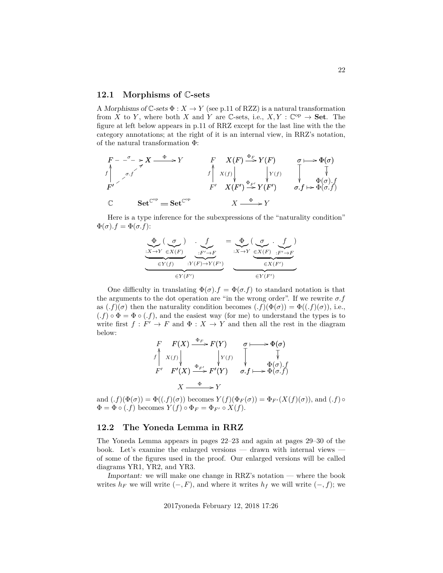#### <span id="page-21-0"></span>**12.1 Morphisms of** C**-sets**

A Morphisms of  $\mathbb{C}$ -sets  $\Phi: X \to Y$  (see p.11 of RZZ) is a natural transformation from X to Y, where both X and Y are C-sets, i.e.,  $X, Y : \mathbb{C}^{op} \to \mathbf{Set}$ . The figure at left below appears in p.11 of RRZ except for the last line with the the category annotations; at the right of it is an internal view, in RRZ's notation, of the natural transformation Φ:

$$
\begin{array}{ccc}\nF - \frac{\sigma}{\sigma} & \Rightarrow X \xrightarrow{\Phi} Y & F & X(F) \xrightarrow{\Phi_F} Y(F) & \sigma \longmapsto \Phi(\sigma) \\
\uparrow & \searrow \sigma \cdot f & \uparrow & \downarrow & \downarrow & \downarrow & \downarrow \\
F' & \searrow & \searrow & \searrow & \searrow & \downarrow \\
F' & X(F') \xrightarrow{\Phi_{F'}} Y(F') & \sigma \cdot f \mapsto \Phi(\sigma \cdot f) \\
\mathbb{C} & \text{Set}^{\mathbb{C}^{\text{op}}} = \text{Set}^{\mathbb{C}^{\text{op}}} & X \xrightarrow{\Phi} Y\n\end{array}
$$

Here is a type inference for the subexpressions of the "naturality condition"  $\Phi(\sigma) \cdot f = \Phi(\sigma.f)$ :

$$
\underbrace{\underbrace{\Phi}_{\in Y(f)}(\underbrace{\sigma}_{\in Y(f)}) \cdot \underbrace{f}_{\cdot F' \to F}}_{\in Y(F')} = \underbrace{\underbrace{\Phi}_{\cdot X \to Y}(\underbrace{\sigma}_{\in X(F)} \cdot f)}_{\in X(F') \cdot F' \to F}
$$

One difficulty in translating  $\Phi(\sigma) \cdot f = \Phi(\sigma, f)$  to standard notation is that the arguments to the dot operation are "in the wrong order". If we rewrite  $\sigma.f$ as  $(f)(\sigma)$  then the naturality condition becomes  $(f)(\Phi(\sigma)) = \Phi((.f)(\sigma))$ , i.e.,  $(f) \circ \Phi = \Phi \circ (f)$ , and the easiest way (for me) to understand the types is to write first  $f: F' \to F$  and  $\Phi: X \to Y$  and then all the rest in the diagram below:

$$
\begin{array}{ccc}\nF & F(X) \xrightarrow{\Phi_F} F(Y) & \sigma \longmapsto \Phi(\sigma) \\
f \uparrow x(f) & \downarrow y(f) & \downarrow \qquad \downarrow \qquad \downarrow \qquad \downarrow \qquad \downarrow \qquad \downarrow \\
F' & F'(X) \xrightarrow{\Phi_{F'}} F'(Y) & \sigma.f \longmapsto \Phi(\sigma.f) \\
X \xrightarrow{\Phi} Y\n\end{array}
$$

and  $(f)(\Phi(\sigma)) = \Phi((.f)(\sigma))$  becomes  $Y(f)(\Phi_F(\sigma)) = \Phi_{F'}(X(f)(\sigma))$ , and  $(.f) \circ$  $\Phi = \Phi \circ (f)$  becomes  $Y(f) \circ \Phi_F = \Phi_{F'} \circ X(f)$ .

### <span id="page-21-1"></span>**12.2 The Yoneda Lemma in RRZ**

The Yoneda Lemma appears in pages 22–23 and again at pages 29–30 of the book. Let's examine the enlarged versions — drawn with internal views of some of the figures used in the proof. Our enlarged versions will be called diagrams YR1, YR2, and YR3.

Important: we will make one change in RRZ's notation — where the book writes  $h_F$  we will write  $(-, F)$ , and where it writes  $h_f$  we will write  $(-, f)$ ; we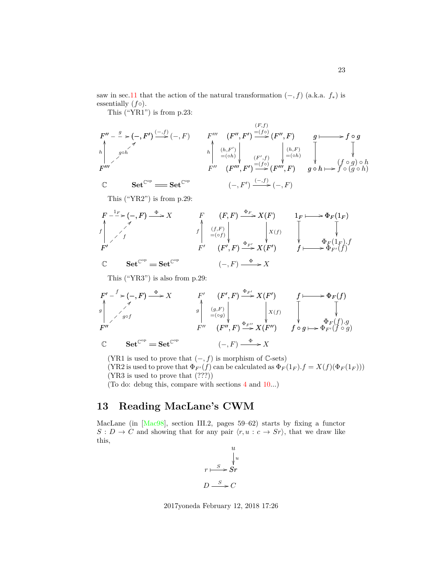saw in sec[.11](#page-18-0) that the action of the natural transformation  $(-, f)$  (a.k.a.  $f_*$ ) is essentially  $(f \circ)$ .

This ("YR1") is from p.23:

$$
F'' - \xrightarrow{g} (-, F') \xrightarrow{(-, f)} (-, F) \qquad F''' \xrightarrow{F'''} (F'', F') \xrightarrow{=(f \circ)} (F'', F) \xrightarrow{g} \xrightarrow{f \circ g}
$$
\n
$$
F''' \xrightarrow{g \circ h} \qquad h \xrightarrow{h} \xrightarrow{(h, F')} \xrightarrow{h} \xrightarrow{(h, F')} \xrightarrow{F''} (F'', f) \xrightarrow{F} \xrightarrow{(h, F)} \xrightarrow{g} \xrightarrow{(h, F)} \xrightarrow{g \circ h} \xrightarrow{f \circ (g \circ h)}
$$
\n
$$
F''' \xrightarrow{F'''} (F''', F') \xrightarrow{=(f \circ)} (F''', F) \qquad g \circ h \mapsto f \circ (g \circ h)
$$
\n
$$
\circ \qquad \qquad \text{Set}^{\mathbb{C}^{\text{op}}} \xrightarrow{f \circ g} \xrightarrow{f \circ g} (-, F') \xrightarrow{(-, f)} (-, F)
$$

This ("YR2") is from p.29:

$$
F \xrightarrow{1_F} (-, F) \xrightarrow{\Phi} X
$$
\n
$$
F \xrightarrow{f} (F, F) \xrightarrow{\Phi_F} X(F)
$$
\n
$$
F \xrightarrow{f} \xrightarrow{f} \xrightarrow{f} \xrightarrow{f} \xrightarrow{f} \xrightarrow{f} \xrightarrow{f} \xrightarrow{f} \xrightarrow{f} \xrightarrow{f} \xrightarrow{f} \xrightarrow{f} \xrightarrow{f} \xrightarrow{f} \xrightarrow{f} \xrightarrow{f} \xrightarrow{f} \xrightarrow{f} \xrightarrow{f} \xrightarrow{f} \xrightarrow{f} \xrightarrow{f} \xrightarrow{f} \xrightarrow{f} \xrightarrow{f} \xrightarrow{f} \xrightarrow{f} \xrightarrow{f} \xrightarrow{f} \xrightarrow{f} \xrightarrow{f} \xrightarrow{f} \xrightarrow{f} \xrightarrow{f} \xrightarrow{f} \xrightarrow{f} \xrightarrow{f} \xrightarrow{f} \xrightarrow{f} \xrightarrow{f} \xrightarrow{f} \xrightarrow{f} \xrightarrow{f} \xrightarrow{f} \xrightarrow{f} \xrightarrow{f} \xrightarrow{f} \xrightarrow{f} \xrightarrow{f} \xrightarrow{f} \xrightarrow{f} \xrightarrow{f} \xrightarrow{f} \xrightarrow{f} \xrightarrow{f} \xrightarrow{f} \xrightarrow{f} \xrightarrow{f} \xrightarrow{f} \xrightarrow{f} \xrightarrow{f} \xrightarrow{f} \xrightarrow{f} \xrightarrow{f} \xrightarrow{f} \xrightarrow{f} \xrightarrow{f} \xrightarrow{f} \xrightarrow{f} \xrightarrow{f} \xrightarrow{f} \xrightarrow{f} \xrightarrow{f} \xrightarrow{f} \xrightarrow{f} \xrightarrow{f} \xrightarrow{f} \xrightarrow{f} \xrightarrow{f} \xrightarrow{f} \xrightarrow{f} \xrightarrow{f} \xrightarrow{f} \xrightarrow{f} \xrightarrow{f} \xrightarrow{f} \xrightarrow{f} \xrightarrow{f} \xrightarrow{f} \xrightarrow{f} \xrightarrow{f} \xrightarrow{f} \xrightarrow{f} \xrightarrow{f} \xrightarrow{f} \xrightarrow{f} \xrightarrow{f} \xrightarrow{f} \xrightarrow{f} \xrightarrow{f} \xrightarrow{f} \xrightarrow{f} \xrightarrow{f} \xrightarrow{f} \xrightarrow{f} \xrightarrow{f} \xrightarrow{f} \xrightarrow{f} \xrightarrow{f} \xrightarrow{f} \xrightarrow{f} \xrightarrow{f} \xrightarrow{f} \xrightarrow{f} \xrightarrow{f} \xrightarrow{f} \x
$$

This ("YR3") is also from p.29:

$$
F' - f \rightarrow (-, F) \xrightarrow{\Phi} X
$$
  
\n
$$
\downarrow
$$
  
\n
$$
F' - f \rightarrow (F', F) \xrightarrow{\Phi} X
$$
  
\n
$$
\downarrow
$$
  
\n
$$
\downarrow
$$
  
\n
$$
F'' - f \rightarrow (F', F) \xrightarrow{\Phi_{F'}} X(F')
$$
  
\n
$$
\downarrow
$$
  
\n
$$
\downarrow
$$
  
\n
$$
\downarrow
$$
  
\n
$$
\downarrow
$$
  
\n
$$
\downarrow
$$
  
\n
$$
\downarrow
$$
  
\n
$$
\downarrow
$$
  
\n
$$
\downarrow
$$
  
\n
$$
\downarrow
$$
  
\n
$$
\downarrow
$$
  
\n
$$
\downarrow
$$
  
\n
$$
\downarrow
$$
  
\n
$$
\downarrow
$$
  
\n
$$
\downarrow
$$
  
\n
$$
\downarrow
$$
  
\n
$$
\downarrow
$$
  
\n
$$
\downarrow
$$
  
\n
$$
\downarrow
$$
  
\n
$$
\downarrow
$$
  
\n
$$
\downarrow
$$
  
\n
$$
\downarrow
$$
  
\n
$$
\downarrow
$$
  
\n
$$
\downarrow
$$
  
\n
$$
\downarrow
$$
  
\n
$$
\downarrow
$$
  
\n
$$
\downarrow
$$
  
\n
$$
\downarrow
$$
  
\n
$$
\downarrow
$$
  
\n
$$
\downarrow
$$
  
\n
$$
\downarrow
$$
  
\n
$$
\downarrow
$$
  
\n
$$
\downarrow
$$
  
\n
$$
\downarrow
$$
  
\n
$$
\downarrow
$$
  
\n
$$
\downarrow
$$
  
\n
$$
\downarrow
$$
  
\n
$$
\downarrow
$$
  
\n
$$
\downarrow
$$
  
\n
$$
\downarrow
$$
  
\n
$$
\downarrow
$$
  
\n
$$
\downarrow
$$
  
\n
$$
\downarrow
$$
  
\n
$$
\downarrow
$$
  
\n
$$
\downarrow
$$
  
\n
$$
\downarrow
$$
  
\n<

(YR1 is used to prove that  $(-, f)$  is morphism of  $\mathbb{C}$ -sets)

(YR2 is used to prove that  $\Phi_{F'}(f)$  can be calculated as  $\Phi_F(1_F) \cdot f = X(f)(\Phi_F(1_F)))$ (YR3 is used to prove that (???))

(To do: debug this, compare with sections [4](#page-11-0) and [10.](#page-16-0)..)

## <span id="page-22-0"></span>**13 Reading MacLane's CWM**

MacLane (in [\[Mac98\]](#page-25-5), section III.2, pages 59–62) starts by fixing a functor  $S: D \to C$  and showing that for any pair  $\langle r, u : c \to Sr \rangle$ , that we draw like this,



2017yoneda February 12, 2018 17:26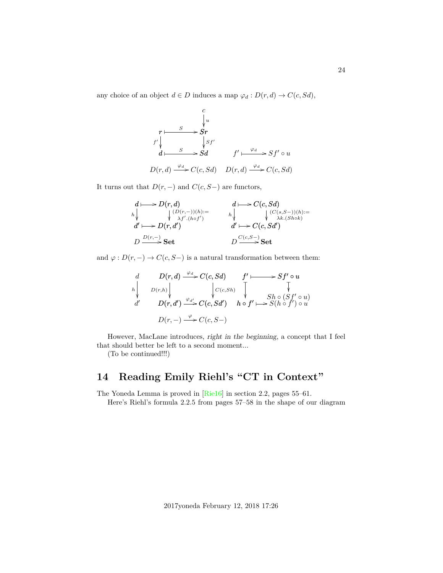any choice of an object  $d \in D$  induces a map  $\varphi_d : D(r, d) \to C(c, Sd)$ ,

$$
\begin{array}{ccc}\n & c & \downarrow u \\
 & r \downarrow & \searrow & \searrow r \\
f' \downarrow & & \downarrow & \searrow & \searrow & \searrow & \searrow & \\
d \downarrow & & S & & \searrow & \searrow & \searrow & \searrow & \searrow & \\
D(r, d) \xrightarrow{\varphi_d} & C(c, Sd) & D(r, d) \xrightarrow{\varphi_d} & C(c, Sd)\n\end{array}
$$

It turns out that  $D(r, -)$  and  $C(c, S-)$  are functors,

$$
\begin{array}{ccc}\nd\longmapsto D(r,d) & d\longmapsto C(c,Sd) \\
\downarrow & \downarrow (D(r,-))(h)= & \downarrow & \downarrow (C(s,S-))(h)= \\
d'\longmapsto D(r,d') & d'\longmapsto C(c,Sd') \\
D\xrightarrow{D(r,-)}\textbf{Set} & D\xrightarrow{C(c,S-)}\textbf{Set}\n\end{array}
$$

and  $\varphi: D(r, -) \to C(c, S-)$  is a natural transformation between them:

d d 0 h D(r, d) C(c, Sd) <sup>ϕ</sup><sup>d</sup> / D(r, d<sup>0</sup> ) C(c, Sd<sup>0</sup> ) ϕd<sup>0</sup> / D(r,h) C(c,Sh) D(r, −) C(c, S−) ϕ / f <sup>0</sup> Sf<sup>0</sup> ◦ u ✤ /Sh ◦ (Sf<sup>0</sup> ◦ u) ❴ h ◦ f 0 ❴ S(h ◦ f 0 ) ◦ u ✤ /

However, MacLane introduces, right in the beginning, a concept that I feel that should better be left to a second moment...

(To be continued!!!)

## <span id="page-23-0"></span>**14 Reading Emily Riehl's "CT in Context"**

The Yoneda Lemma is proved in [\[Rie16\]](#page-25-2) in section 2.2, pages 55–61.

Here's Riehl's formula 2.2.5 from pages 57–58 in the shape of our diagram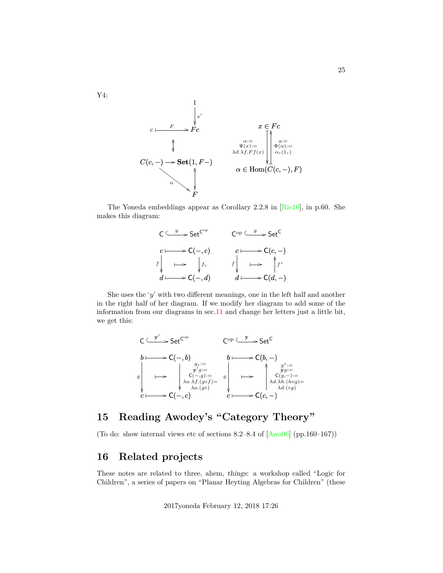

The Yoneda embeddings appear as Corollary 2.2.8 in [\[Rie16\]](#page-25-2), in p.60. She makes this diagram:



She uses the 'y' with two different meanings, one in the left half and another in the right half of her diagram. If we modify her diagram to add some of the information from our diagrams in sec[.11](#page-18-0) and change her letters just a little bit, we get this:



## <span id="page-24-0"></span>**15 Reading Awodey's "Category Theory"**

(To do: show internal views etc of sections  $8.2-8.4$  of  $[Aw006]$  (pp.160-167))

## <span id="page-24-1"></span>**16 Related projects**

These notes are related to three, ahem, things: a workshop called "Logic for Children", a series of papers on "Planar Heyting Algebras for Children" (these

2017yoneda February 12, 2018 17:26

Y4: